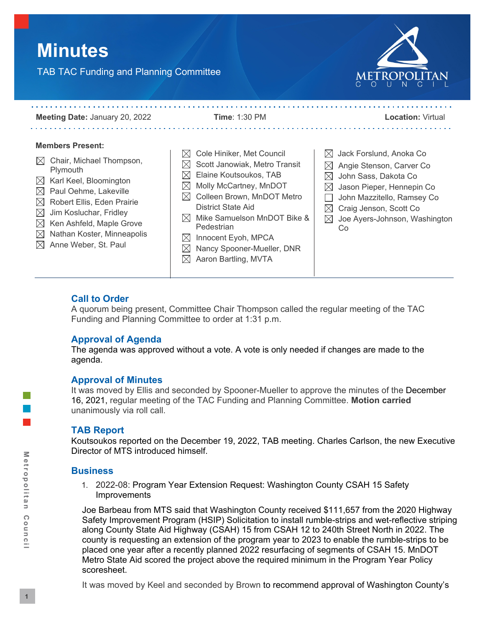# **Minutes**

TAB TAC Funding and Planning Committee



**Meeting Date:** January 20, 2022 **Time**: 1:30 PM **Location:** Virtual . . . . . . . . . . . . . **Members Present:**  $\boxtimes\,$  Cole Hiniker, Met Council  $\boxtimes$  Jack Forslund, Anoka Co  $\boxtimes$  Chair, Michael Thompson,  $\boxtimes$  Scott Janowiak, Metro Transit  $\boxtimes$  Angie Stenson, Carver Co Plymouth  $\boxtimes$  Elaine Koutsoukos, TAB  $\boxtimes$  John Sass, Dakota Co  $\boxtimes$  Karl Keel, Bloomington  $\boxtimes$  Molly McCartney, MnDOT  $\boxtimes$  Jason Pieper, Hennepin Co  $\boxtimes$  Paul Oehme, Lakeville  $\boxtimes$  Colleen Brown, MnDOT Metro  $\Box$  John Mazzitello, Ramsey Co  $\boxtimes$  Robert Ellis, Eden Prairie District State Aid  $\boxtimes$  Craig Jenson, Scott Co  $\boxtimes$  Jim Kosluchar, Fridley  $\boxtimes$  Mike Samuelson MnDOT Bike &  $\boxtimes$  Joe Ayers-Johnson, Washington  $\boxtimes$  Ken Ashfeld, Maple Grove Pedestrian Co  $\boxtimes$  Nathan Koster, Minneapolis  $\boxtimes$  Innocent Eyoh, MPCA  $\boxtimes$  Anne Weber, St. Paul  $\boxtimes$  Nancy Spooner-Mueller, DNR  $\boxtimes$  Aaron Bartling, MVTA

## **Call to Order**

A quorum being present, Committee Chair Thompson called the regular meeting of the TAC Funding and Planning Committee to order at 1:31 p.m.

## **Approval of Agenda**

The agenda was approved without a vote. A vote is only needed if changes are made to the agenda.

## **Approval of Minutes**

It was moved by Ellis and seconded by Spooner-Mueller to approve the minutes of the December 16, 2021, regular meeting of the TAC Funding and Planning Committee. **Motion carried**  unanimously via roll call.

## **TAB Report**

Koutsoukos reported on the December 19, 2022, TAB meeting. Charles Carlson, the new Executive Director of MTS introduced himself.

## **Business**

1. 2022-08: Program Year Extension Request: Washington County CSAH 15 Safety Improvements

Joe Barbeau from MTS said that Washington County received \$111,657 from the 2020 Highway Safety Improvement Program (HSIP) Solicitation to install rumble-strips and wet-reflective striping along County State Aid Highway (CSAH) 15 from CSAH 12 to 240th Street North in 2022. The county is requesting an extension of the program year to 2023 to enable the rumble-strips to be placed one year after a recently planned 2022 resurfacing of segments of CSAH 15. MnDOT Metro State Aid scored the project above the required minimum in the Program Year Policy scoresheet.

It was moved by Keel and seconded by Brown to recommend approval of Washington County's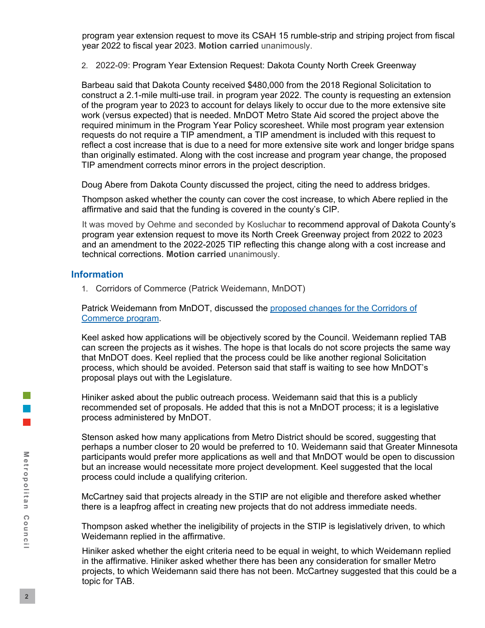program year extension request to move its CSAH 15 rumble-strip and striping project from fiscal year 2022 to fiscal year 2023. **Motion carried** unanimously.

2. 2022-09: Program Year Extension Request: Dakota County North Creek Greenway

Barbeau said that Dakota County received \$480,000 from the 2018 Regional Solicitation to construct a 2.1-mile multi-use trail. in program year 2022. The county is requesting an extension of the program year to 2023 to account for delays likely to occur due to the more extensive site work (versus expected) that is needed. MnDOT Metro State Aid scored the project above the required minimum in the Program Year Policy scoresheet. While most program year extension requests do not require a TIP amendment, a TIP amendment is included with this request to reflect a cost increase that is due to a need for more extensive site work and longer bridge spans than originally estimated. Along with the cost increase and program year change, the proposed TIP amendment corrects minor errors in the project description.

Doug Abere from Dakota County discussed the project, citing the need to address bridges.

Thompson asked whether the county can cover the cost increase, to which Abere replied in the affirmative and said that the funding is covered in the county's CIP.

It was moved by Oehme and seconded by Kosluchar to recommend approval of Dakota County's program year extension request to move its North Creek Greenway project from 2022 to 2023 and an amendment to the 2022-2025 TIP reflecting this change along with a cost increase and technical corrections. **Motion carried** unanimously.

#### **Information**

1. Corridors of Commerce (Patrick Weidemann, MnDOT)

Patrick Weidemann from MnDOT, discussed the [proposed changes for the Corridors of](https://metrocouncil.org/Council-Meetings/Committees/Transportation-Advisory-Board-TAB/TAB-Technical-Advisory-Committee/TAC-Funding-and-Programming-Committee/2022/TAC-Funding-Programming-1-20-22/VI_1_Corridors-of-Commerce.aspx)  [Commerce program.](https://metrocouncil.org/Council-Meetings/Committees/Transportation-Advisory-Board-TAB/TAB-Technical-Advisory-Committee/TAC-Funding-and-Programming-Committee/2022/TAC-Funding-Programming-1-20-22/VI_1_Corridors-of-Commerce.aspx)

Keel asked how applications will be objectively scored by the Council. Weidemann replied TAB can screen the projects as it wishes. The hope is that locals do not score projects the same way that MnDOT does. Keel replied that the process could be like another regional Solicitation process, which should be avoided. Peterson said that staff is waiting to see how MnDOT's proposal plays out with the Legislature.

Hiniker asked about the public outreach process. Weidemann said that this is a publicly recommended set of proposals. He added that this is not a MnDOT process; it is a legislative process administered by MnDOT.

Stenson asked how many applications from Metro District should be scored, suggesting that perhaps a number closer to 20 would be preferred to 10. Weidemann said that Greater Minnesota participants would prefer more applications as well and that MnDOT would be open to discussion but an increase would necessitate more project development. Keel suggested that the local process could include a qualifying criterion.

McCartney said that projects already in the STIP are not eligible and therefore asked whether there is a leapfrog affect in creating new projects that do not address immediate needs.

Thompson asked whether the ineligibility of projects in the STIP is legislatively driven, to which Weidemann replied in the affirmative.

Hiniker asked whether the eight criteria need to be equal in weight, to which Weidemann replied in the affirmative. Hiniker asked whether there has been any consideration for smaller Metro projects, to which Weidemann said there has not been. McCartney suggested that this could be a topic for TAB.